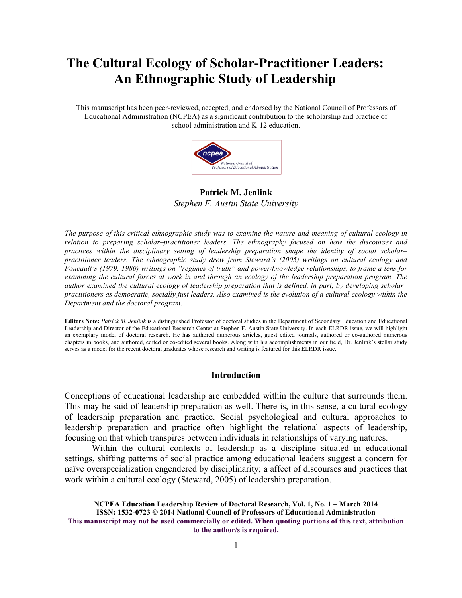# **The Cultural Ecology of Scholar-Practitioner Leaders: An Ethnographic Study of Leadership**

This manuscript has been peer-reviewed, accepted, and endorsed by the National Council of Professors of Educational Administration (NCPEA) as a significant contribution to the scholarship and practice of school administration and K-12 education.



**Patrick M. Jenlink** *Stephen F. Austin State University*

*The purpose of this critical ethnographic study was to examine the nature and meaning of cultural ecology in relation to preparing scholar–practitioner leaders. The ethnography focused on how the discourses and practices within the disciplinary setting of leadership preparation shape the identity of social scholar– practitioner leaders. The ethnographic study drew from Steward's (2005) writings on cultural ecology and Foucault's (1979, 1980) writings on "regimes of truth" and power/knowledge relationships, to frame a lens for examining the cultural forces at work in and through an ecology of the leadership preparation program. The author examined the cultural ecology of leadership preparation that is defined, in part, by developing scholar– practitioners as democratic, socially just leaders. Also examined is the evolution of a cultural ecology within the Department and the doctoral program.*

**Editors Note:** *Patrick M. Jenlink* is a distinguished Professor of doctoral studies in the Department of Secondary Education and Educational Leadership and Director of the Educational Research Center at Stephen F. Austin State University. In each ELRDR issue, we will highlight an exemplary model of doctoral research. He has authored numerous articles, guest edited journals, authored or co-authored numerous chapters in books, and authored, edited or co-edited several books. Along with his accomplishments in our field, Dr. Jenlink's stellar study serves as a model for the recent doctoral graduates whose research and writing is featured for this ELRDR issue.

### **Introduction**

Conceptions of educational leadership are embedded within the culture that surrounds them. This may be said of leadership preparation as well. There is, in this sense, a cultural ecology of leadership preparation and practice. Social psychological and cultural approaches to leadership preparation and practice often highlight the relational aspects of leadership, focusing on that which transpires between individuals in relationships of varying natures.

Within the cultural contexts of leadership as a discipline situated in educational settings, shifting patterns of social practice among educational leaders suggest a concern for naïve overspecialization engendered by disciplinarity; a affect of discourses and practices that work within a cultural ecology (Steward, 2005) of leadership preparation.

**NCPEA Education Leadership Review of Doctoral Research, Vol. 1, No. 1 – March 2014 ISSN: 1532-0723 © 2014 National Council of Professors of Educational Administration This manuscript may not be used commercially or edited. When quoting portions of this text, attribution to the author/s is required.**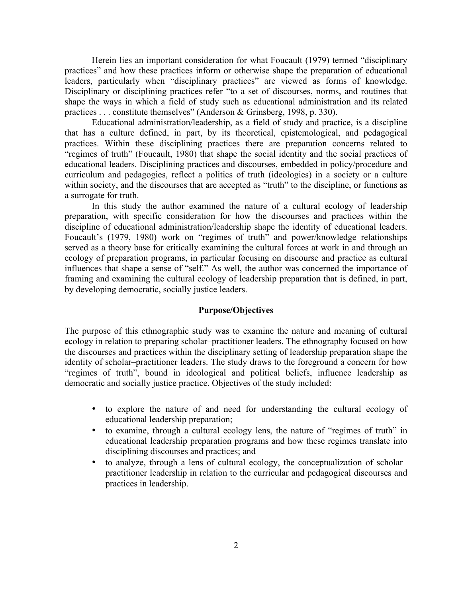Herein lies an important consideration for what Foucault (1979) termed "disciplinary practices" and how these practices inform or otherwise shape the preparation of educational leaders, particularly when "disciplinary practices" are viewed as forms of knowledge. Disciplinary or disciplining practices refer "to a set of discourses, norms, and routines that shape the ways in which a field of study such as educational administration and its related practices . . . constitute themselves" (Anderson & Grinsberg, 1998, p. 330).

Educational administration/leadership, as a field of study and practice, is a discipline that has a culture defined, in part, by its theoretical, epistemological, and pedagogical practices. Within these disciplining practices there are preparation concerns related to "regimes of truth" (Foucault, 1980) that shape the social identity and the social practices of educational leaders. Disciplining practices and discourses, embedded in policy/procedure and curriculum and pedagogies, reflect a politics of truth (ideologies) in a society or a culture within society, and the discourses that are accepted as "truth" to the discipline, or functions as a surrogate for truth.

In this study the author examined the nature of a cultural ecology of leadership preparation, with specific consideration for how the discourses and practices within the discipline of educational administration/leadership shape the identity of educational leaders. Foucault's (1979, 1980) work on "regimes of truth" and power/knowledge relationships served as a theory base for critically examining the cultural forces at work in and through an ecology of preparation programs, in particular focusing on discourse and practice as cultural influences that shape a sense of "self." As well, the author was concerned the importance of framing and examining the cultural ecology of leadership preparation that is defined, in part, by developing democratic, socially justice leaders.

# **Purpose/Objectives**

The purpose of this ethnographic study was to examine the nature and meaning of cultural ecology in relation to preparing scholar–practitioner leaders. The ethnography focused on how the discourses and practices within the disciplinary setting of leadership preparation shape the identity of scholar–practitioner leaders. The study draws to the foreground a concern for how "regimes of truth", bound in ideological and political beliefs, influence leadership as democratic and socially justice practice. Objectives of the study included:

- to explore the nature of and need for understanding the cultural ecology of educational leadership preparation;
- to examine, through a cultural ecology lens, the nature of "regimes of truth" in educational leadership preparation programs and how these regimes translate into disciplining discourses and practices; and
- to analyze, through a lens of cultural ecology, the conceptualization of scholar– practitioner leadership in relation to the curricular and pedagogical discourses and practices in leadership.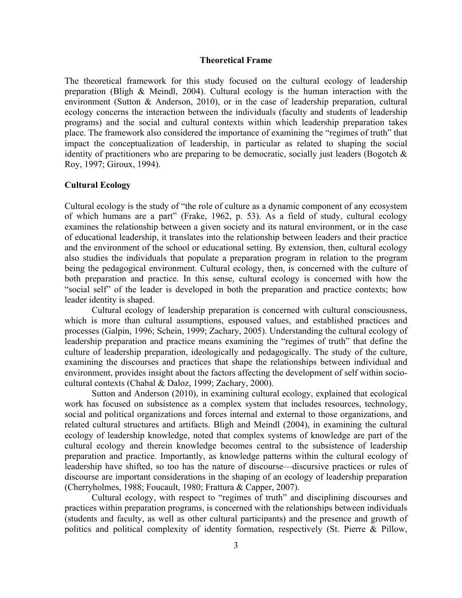#### **Theoretical Frame**

The theoretical framework for this study focused on the cultural ecology of leadership preparation (Bligh & Meindl, 2004). Cultural ecology is the human interaction with the environment (Sutton & Anderson, 2010), or in the case of leadership preparation, cultural ecology concerns the interaction between the individuals (faculty and students of leadership programs) and the social and cultural contexts within which leadership preparation takes place. The framework also considered the importance of examining the "regimes of truth" that impact the conceptualization of leadership, in particular as related to shaping the social identity of practitioners who are preparing to be democratic, socially just leaders (Bogotch  $\&$ Roy, 1997; Giroux, 1994).

## **Cultural Ecology**

Cultural ecology is the study of "the role of culture as a dynamic component of any ecosystem of which humans are a part" (Frake, 1962, p. 53). As a field of study, cultural ecology examines the relationship between a given society and its natural environment, or in the case of educational leadership, it translates into the relationship between leaders and their practice and the environment of the school or educational setting. By extension, then, cultural ecology also studies the individuals that populate a preparation program in relation to the program being the pedagogical environment. Cultural ecology, then, is concerned with the culture of both preparation and practice. In this sense, cultural ecology is concerned with how the "social self" of the leader is developed in both the preparation and practice contexts; how leader identity is shaped.

Cultural ecology of leadership preparation is concerned with cultural consciousness, which is more than cultural assumptions, espoused values, and established practices and processes (Galpin, 1996; Schein, 1999; Zachary, 2005). Understanding the cultural ecology of leadership preparation and practice means examining the "regimes of truth" that define the culture of leadership preparation, ideologically and pedagogically. The study of the culture, examining the discourses and practices that shape the relationships between individual and environment, provides insight about the factors affecting the development of self within sociocultural contexts (Chabal & Daloz, 1999; Zachary, 2000).

Sutton and Anderson (2010), in examining cultural ecology, explained that ecological work has focused on subsistence as a complex system that includes resources, technology, social and political organizations and forces internal and external to those organizations, and related cultural structures and artifacts. Bligh and Meindl (2004), in examining the cultural ecology of leadership knowledge, noted that complex systems of knowledge are part of the cultural ecology and therein knowledge becomes central to the subsistence of leadership preparation and practice. Importantly, as knowledge patterns within the cultural ecology of leadership have shifted, so too has the nature of discourse—discursive practices or rules of discourse are important considerations in the shaping of an ecology of leadership preparation (Cherryholmes, 1988; Foucault, 1980; Frattura & Capper, 2007).

Cultural ecology, with respect to "regimes of truth" and disciplining discourses and practices within preparation programs, is concerned with the relationships between individuals (students and faculty, as well as other cultural participants) and the presence and growth of politics and political complexity of identity formation, respectively (St. Pierre & Pillow,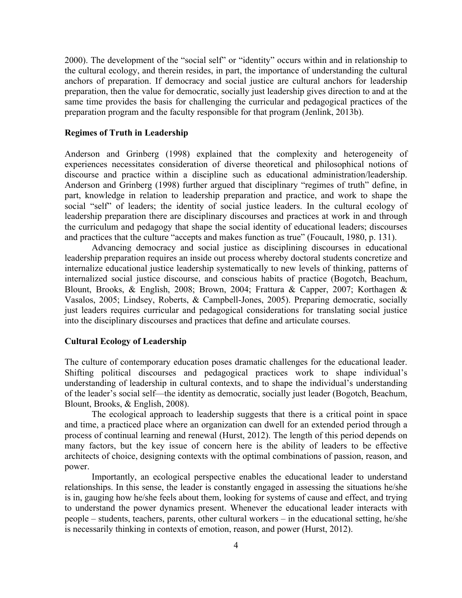2000). The development of the "social self" or "identity" occurs within and in relationship to the cultural ecology, and therein resides, in part, the importance of understanding the cultural anchors of preparation. If democracy and social justice are cultural anchors for leadership preparation, then the value for democratic, socially just leadership gives direction to and at the same time provides the basis for challenging the curricular and pedagogical practices of the preparation program and the faculty responsible for that program (Jenlink, 2013b).

# **Regimes of Truth in Leadership**

Anderson and Grinberg (1998) explained that the complexity and heterogeneity of experiences necessitates consideration of diverse theoretical and philosophical notions of discourse and practice within a discipline such as educational administration/leadership. Anderson and Grinberg (1998) further argued that disciplinary "regimes of truth" define, in part, knowledge in relation to leadership preparation and practice, and work to shape the social "self" of leaders; the identity of social justice leaders. In the cultural ecology of leadership preparation there are disciplinary discourses and practices at work in and through the curriculum and pedagogy that shape the social identity of educational leaders; discourses and practices that the culture "accepts and makes function as true" (Foucault, 1980, p. 131).

Advancing democracy and social justice as disciplining discourses in educational leadership preparation requires an inside out process whereby doctoral students concretize and internalize educational justice leadership systematically to new levels of thinking, patterns of internalized social justice discourse, and conscious habits of practice (Bogotch, Beachum, Blount, Brooks, & English, 2008; Brown, 2004; Frattura & Capper, 2007; Korthagen & Vasalos, 2005; Lindsey, Roberts, & Campbell-Jones, 2005). Preparing democratic, socially just leaders requires curricular and pedagogical considerations for translating social justice into the disciplinary discourses and practices that define and articulate courses.

#### **Cultural Ecology of Leadership**

The culture of contemporary education poses dramatic challenges for the educational leader. Shifting political discourses and pedagogical practices work to shape individual's understanding of leadership in cultural contexts, and to shape the individual's understanding of the leader's social self—the identity as democratic, socially just leader (Bogotch, Beachum, Blount, Brooks, & English, 2008).

The ecological approach to leadership suggests that there is a critical point in space and time, a practiced place where an organization can dwell for an extended period through a process of continual learning and renewal (Hurst, 2012). The length of this period depends on many factors, but the key issue of concern here is the ability of leaders to be effective architects of choice, designing contexts with the optimal combinations of passion, reason, and power.

Importantly, an ecological perspective enables the educational leader to understand relationships. In this sense, the leader is constantly engaged in assessing the situations he/she is in, gauging how he/she feels about them, looking for systems of cause and effect, and trying to understand the power dynamics present. Whenever the educational leader interacts with people – students, teachers, parents, other cultural workers – in the educational setting, he/she is necessarily thinking in contexts of emotion, reason, and power (Hurst, 2012).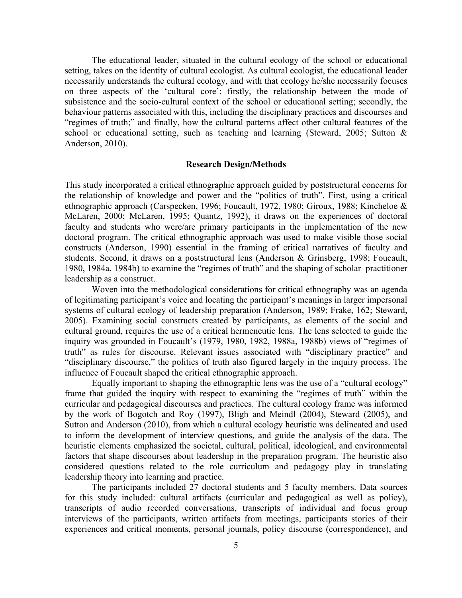The educational leader, situated in the cultural ecology of the school or educational setting, takes on the identity of cultural ecologist. As cultural ecologist, the educational leader necessarily understands the cultural ecology, and with that ecology he/she necessarily focuses on three aspects of the 'cultural core': firstly, the relationship between the mode of subsistence and the socio-cultural context of the school or educational setting; secondly, the behaviour patterns associated with this, including the disciplinary practices and discourses and "regimes of truth;" and finally, how the cultural patterns affect other cultural features of the school or educational setting, such as teaching and learning (Steward, 2005; Sutton & Anderson, 2010).

#### **Research Design/Methods**

This study incorporated a critical ethnographic approach guided by poststructural concerns for the relationship of knowledge and power and the "politics of truth". First, using a critical ethnographic approach (Carspecken, 1996; Foucault, 1972, 1980; Giroux, 1988; Kincheloe & McLaren, 2000; McLaren, 1995; Quantz, 1992), it draws on the experiences of doctoral faculty and students who were/are primary participants in the implementation of the new doctoral program. The critical ethnographic approach was used to make visible those social constructs (Anderson, 1990) essential in the framing of critical narratives of faculty and students. Second, it draws on a poststructural lens (Anderson & Grinsberg, 1998; Foucault, 1980, 1984a, 1984b) to examine the "regimes of truth" and the shaping of scholar–practitioner leadership as a construct.

Woven into the methodological considerations for critical ethnography was an agenda of legitimating participant's voice and locating the participant's meanings in larger impersonal systems of cultural ecology of leadership preparation (Anderson, 1989; Frake, 162; Steward, 2005). Examining social constructs created by participants, as elements of the social and cultural ground, requires the use of a critical hermeneutic lens. The lens selected to guide the inquiry was grounded in Foucault's (1979, 1980, 1982, 1988a, 1988b) views of "regimes of truth" as rules for discourse. Relevant issues associated with "disciplinary practice" and "disciplinary discourse," the politics of truth also figured largely in the inquiry process. The influence of Foucault shaped the critical ethnographic approach.

Equally important to shaping the ethnographic lens was the use of a "cultural ecology" frame that guided the inquiry with respect to examining the "regimes of truth" within the curricular and pedagogical discourses and practices. The cultural ecology frame was informed by the work of Bogotch and Roy (1997), Bligh and Meindl (2004), Steward (2005), and Sutton and Anderson (2010), from which a cultural ecology heuristic was delineated and used to inform the development of interview questions, and guide the analysis of the data. The heuristic elements emphasized the societal, cultural, political, ideological, and environmental factors that shape discourses about leadership in the preparation program. The heuristic also considered questions related to the role curriculum and pedagogy play in translating leadership theory into learning and practice.

The participants included 27 doctoral students and 5 faculty members. Data sources for this study included: cultural artifacts (curricular and pedagogical as well as policy), transcripts of audio recorded conversations, transcripts of individual and focus group interviews of the participants, written artifacts from meetings, participants stories of their experiences and critical moments, personal journals, policy discourse (correspondence), and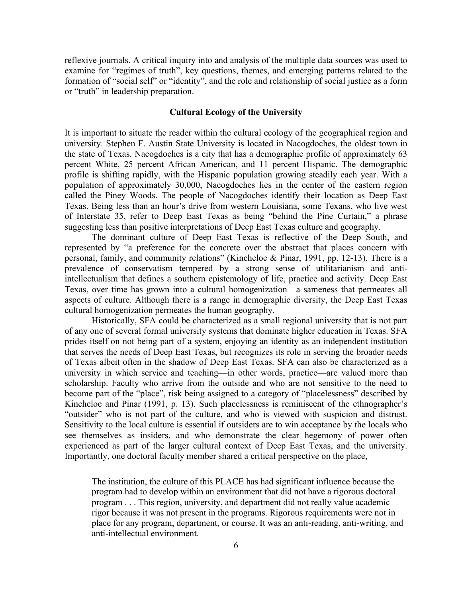reflexive journals. A critical inquiry into and analysis of the multiple data sources was used to examine for "regimes of truth", key questions, themes, and emerging patterns related to the formation of "social self" or "identity", and the role and relationship of social justice as a form or "truth" in leadership preparation.

# **Cultural Ecology of the University**

It is important to situate the reader within the cultural ecology of the geographical region and university. Stephen F. Austin State University is located in Nacogdoches, the oldest town in the state of Texas. Nacogdoches is a city that has a demographic profile of approximately 63 percent White, 25 percent African American, and 11 percent Hispanic. The demographic profile is shifting rapidly, with the Hispanic population growing steadily each year. With a population of approximately 30,000, Nacogdoches lies in the center of the eastern region called the Piney Woods. The people of Nacogdoches identify their location as Deep East Texas. Being less than an hour's drive from western Louisiana, some Texans, who live west of Interstate 35, refer to Deep East Texas as being "behind the Pine Curtain," a phrase suggesting less than positive interpretations of Deep East Texas culture and geography.

The dominant culture of Deep East Texas is reflective of the Deep South, and represented by "a preference for the concrete over the abstract that places concern with personal, family, and community relations" (Kincheloe & Pinar, 1991, pp. 12-13). There is a prevalence of conservatism tempered by a strong sense of utilitarianism and antiintellectualism that defines a southern epistemology of life, practice and activity. Deep East Texas, over time has grown into a cultural homogenization—a sameness that permeates all aspects of culture. Although there is a range in demographic diversity, the Deep East Texas cultural homogenization permeates the human geography.

Historically, SFA could be characterized as a small regional university that is not part of any one of several formal university systems that dominate higher education in Texas. SFA prides itself on not being part of a system, enjoying an identity as an independent institution that serves the needs of Deep East Texas, but recognizes its role in serving the broader needs of Texas albeit often in the shadow of Deep East Texas. SFA can also be characterized as a university in which service and teaching—in other words, practice—are valued more than scholarship. Faculty who arrive from the outside and who are not sensitive to the need to become part of the "place", risk being assigned to a category of "placelessness" described by Kincheloe and Pinar (1991, p. 13). Such placelessness is reminiscent of the ethnographer's "outsider" who is not part of the culture, and who is viewed with suspicion and distrust. Sensitivity to the local culture is essential if outsiders are to win acceptance by the locals who see themselves as insiders, and who demonstrate the clear hegemony of power often experienced as part of the larger cultural context of Deep East Texas, and the university. Importantly, one doctoral faculty member shared a critical perspective on the place,

The institution, the culture of this PLACE has had significant influence because the program had to develop within an environment that did not have a rigorous doctoral program . . . This region, university, and department did not really value academic rigor because it was not present in the programs. Rigorous requirements were not in place for any program, department, or course. It was an anti-reading, anti-writing, and anti-intellectual environment.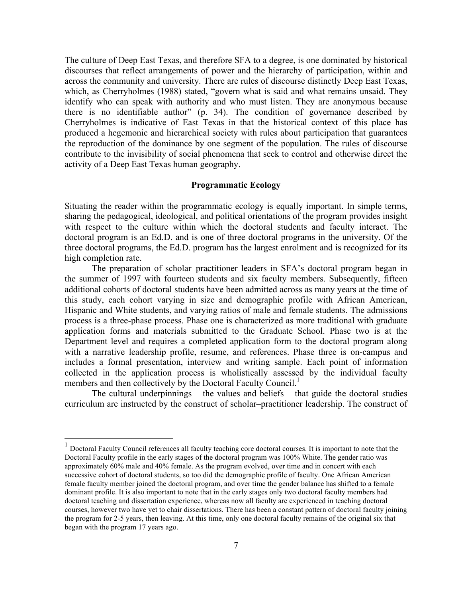The culture of Deep East Texas, and therefore SFA to a degree, is one dominated by historical discourses that reflect arrangements of power and the hierarchy of participation, within and across the community and university. There are rules of discourse distinctly Deep East Texas, which, as Cherryholmes (1988) stated, "govern what is said and what remains unsaid. They identify who can speak with authority and who must listen. They are anonymous because there is no identifiable author" (p. 34). The condition of governance described by Cherryholmes is indicative of East Texas in that the historical context of this place has produced a hegemonic and hierarchical society with rules about participation that guarantees the reproduction of the dominance by one segment of the population. The rules of discourse contribute to the invisibility of social phenomena that seek to control and otherwise direct the activity of a Deep East Texas human geography.

## **Programmatic Ecology**

Situating the reader within the programmatic ecology is equally important. In simple terms, sharing the pedagogical, ideological, and political orientations of the program provides insight with respect to the culture within which the doctoral students and faculty interact. The doctoral program is an Ed.D. and is one of three doctoral programs in the university. Of the three doctoral programs, the Ed.D. program has the largest enrolment and is recognized for its high completion rate.

The preparation of scholar–practitioner leaders in SFA's doctoral program began in the summer of 1997 with fourteen students and six faculty members. Subsequently, fifteen additional cohorts of doctoral students have been admitted across as many years at the time of this study, each cohort varying in size and demographic profile with African American, Hispanic and White students, and varying ratios of male and female students. The admissions process is a three-phase process. Phase one is characterized as more traditional with graduate application forms and materials submitted to the Graduate School. Phase two is at the Department level and requires a completed application form to the doctoral program along with a narrative leadership profile, resume, and references. Phase three is on-campus and includes a formal presentation, interview and writing sample. Each point of information collected in the application process is wholistically assessed by the individual faculty members and then collectively by the Doctoral Faculty Council.<sup>1</sup>

The cultural underpinnings – the values and beliefs – that guide the doctoral studies curriculum are instructed by the construct of scholar–practitioner leadership. The construct of

 $<sup>1</sup>$  Doctoral Faculty Council references all faculty teaching core doctoral courses. It is important to note that the</sup> Doctoral Faculty profile in the early stages of the doctoral program was 100% White. The gender ratio was approximately 60% male and 40% female. As the program evolved, over time and in concert with each successive cohort of doctoral students, so too did the demographic profile of faculty. One African American female faculty member joined the doctoral program, and over time the gender balance has shifted to a female dominant profile. It is also important to note that in the early stages only two doctoral faculty members had doctoral teaching and dissertation experience, whereas now all faculty are experienced in teaching doctoral courses, however two have yet to chair dissertations. There has been a constant pattern of doctoral faculty joining the program for 2-5 years, then leaving. At this time, only one doctoral faculty remains of the original six that began with the program 17 years ago.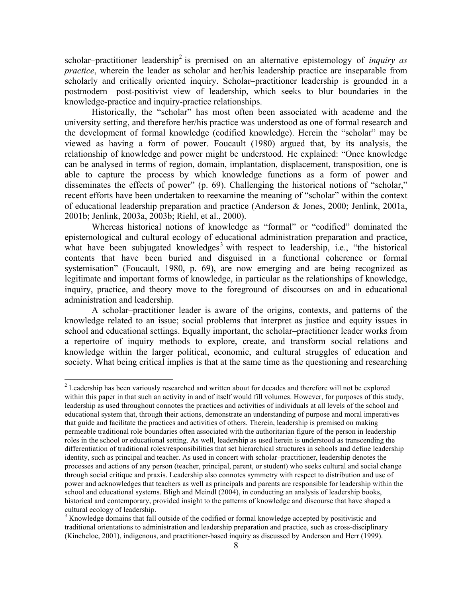scholar–practitioner leadership<sup>2</sup> is premised on an alternative epistemology of *inquiry as practice*, wherein the leader as scholar and her/his leadership practice are inseparable from scholarly and critically oriented inquiry. Scholar–practitioner leadership is grounded in a postmodern—post-positivist view of leadership, which seeks to blur boundaries in the knowledge-practice and inquiry-practice relationships.

Historically, the "scholar" has most often been associated with academe and the university setting, and therefore her/his practice was understood as one of formal research and the development of formal knowledge (codified knowledge). Herein the "scholar" may be viewed as having a form of power. Foucault (1980) argued that, by its analysis, the relationship of knowledge and power might be understood. He explained: "Once knowledge can be analysed in terms of region, domain, implantation, displacement, transposition, one is able to capture the process by which knowledge functions as a form of power and disseminates the effects of power" (p. 69). Challenging the historical notions of "scholar," recent efforts have been undertaken to reexamine the meaning of "scholar" within the context of educational leadership preparation and practice (Anderson & Jones, 2000; Jenlink, 2001a, 2001b; Jenlink, 2003a, 2003b; Riehl, et al., 2000).

Whereas historical notions of knowledge as "formal" or "codified" dominated the epistemological and cultural ecology of educational administration preparation and practice, what have been subjugated knowledges<sup>3</sup> with respect to leadership, i.e., "the historical contents that have been buried and disguised in a functional coherence or formal systemisation" (Foucault, 1980, p. 69), are now emerging and are being recognized as legitimate and important forms of knowledge, in particular as the relationships of knowledge, inquiry, practice, and theory move to the foreground of discourses on and in educational administration and leadership.

A scholar–practitioner leader is aware of the origins, contexts, and patterns of the knowledge related to an issue; social problems that interpret as justice and equity issues in school and educational settings. Equally important, the scholar–practitioner leader works from a repertoire of inquiry methods to explore, create, and transform social relations and knowledge within the larger political, economic, and cultural struggles of education and society. What being critical implies is that at the same time as the questioning and researching

<sup>&</sup>lt;sup>2</sup> Leadership has been variously researched and written about for decades and therefore will not be explored within this paper in that such an activity in and of itself would fill volumes. However, for purposes of this study, leadership as used throughout connotes the practices and activities of individuals at all levels of the school and educational system that, through their actions, demonstrate an understanding of purpose and moral imperatives that guide and facilitate the practices and activities of others. Therein, leadership is premised on making permeable traditional role boundaries often associated with the authoritarian figure of the person in leadership roles in the school or educational setting. As well, leadership as used herein is understood as transcending the differentiation of traditional roles/responsibilities that set hierarchical structures in schools and define leadership identity, such as principal and teacher. As used in concert with scholar–practitioner, leadership denotes the processes and actions of any person (teacher, principal, parent, or student) who seeks cultural and social change through social critique and praxis. Leadership also connotes symmetry with respect to distribution and use of power and acknowledges that teachers as well as principals and parents are responsible for leadership within the school and educational systems. Bligh and Meindl (2004), in conducting an analysis of leadership books, historical and contemporary, provided insight to the patterns of knowledge and discourse that have shaped a cultural ecology of leadership.

<sup>&</sup>lt;sup>3</sup> Knowledge domains that fall outside of the codified or formal knowledge accepted by positivistic and traditional orientations to administration and leadership preparation and practice, such as cross-disciplinary (Kincheloe, 2001), indigenous, and practitioner-based inquiry as discussed by Anderson and Herr (1999).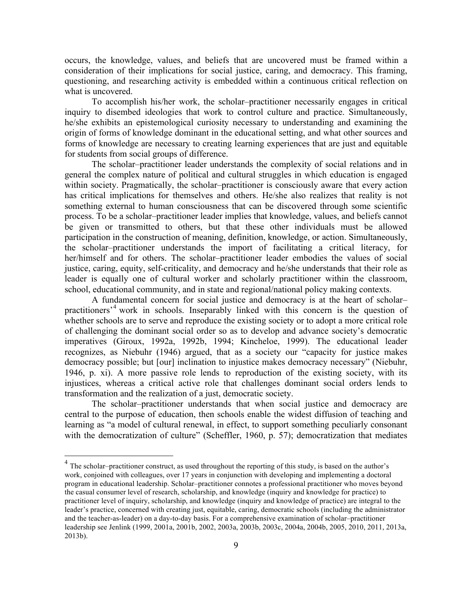occurs, the knowledge, values, and beliefs that are uncovered must be framed within a consideration of their implications for social justice, caring, and democracy. This framing, questioning, and researching activity is embedded within a continuous critical reflection on what is uncovered.

To accomplish his/her work, the scholar–practitioner necessarily engages in critical inquiry to disembed ideologies that work to control culture and practice. Simultaneously, he/she exhibits an epistemological curiosity necessary to understanding and examining the origin of forms of knowledge dominant in the educational setting, and what other sources and forms of knowledge are necessary to creating learning experiences that are just and equitable for students from social groups of difference.

The scholar–practitioner leader understands the complexity of social relations and in general the complex nature of political and cultural struggles in which education is engaged within society. Pragmatically, the scholar–practitioner is consciously aware that every action has critical implications for themselves and others. He/she also realizes that reality is not something external to human consciousness that can be discovered through some scientific process. To be a scholar–practitioner leader implies that knowledge, values, and beliefs cannot be given or transmitted to others, but that these other individuals must be allowed participation in the construction of meaning, definition, knowledge, or action. Simultaneously, the scholar–practitioner understands the import of facilitating a critical literacy, for her/himself and for others. The scholar–practitioner leader embodies the values of social justice, caring, equity, self-criticality, and democracy and he/she understands that their role as leader is equally one of cultural worker and scholarly practitioner within the classroom, school, educational community, and in state and regional/national policy making contexts.

A fundamental concern for social justice and democracy is at the heart of scholar– practitioners'<sup>4</sup> work in schools. Inseparably linked with this concern is the question of whether schools are to serve and reproduce the existing society or to adopt a more critical role of challenging the dominant social order so as to develop and advance society's democratic imperatives (Giroux, 1992a, 1992b, 1994; Kincheloe, 1999). The educational leader recognizes, as Niebuhr (1946) argued, that as a society our "capacity for justice makes democracy possible; but [our] inclination to injustice makes democracy necessary" (Niebuhr, 1946, p. xi). A more passive role lends to reproduction of the existing society, with its injustices, whereas a critical active role that challenges dominant social orders lends to transformation and the realization of a just, democratic society.

The scholar–practitioner understands that when social justice and democracy are central to the purpose of education, then schools enable the widest diffusion of teaching and learning as "a model of cultural renewal, in effect, to support something peculiarly consonant with the democratization of culture" (Scheffler, 1960, p. 57); democratization that mediates

<sup>&</sup>lt;sup>4</sup> The scholar–practitioner construct, as used throughout the reporting of this study, is based on the author's work, conjoined with colleagues, over 17 years in conjunction with developing and implementing a doctoral program in educational leadership. Scholar–practitioner connotes a professional practitioner who moves beyond the casual consumer level of research, scholarship, and knowledge (inquiry and knowledge for practice) to practitioner level of inquiry, scholarship, and knowledge (inquiry and knowledge of practice) are integral to the leader's practice, concerned with creating just, equitable, caring, democratic schools (including the administrator and the teacher-as-leader) on a day-to-day basis. For a comprehensive examination of scholar–practitioner leadership see Jenlink (1999, 2001a, 2001b, 2002, 2003a, 2003b, 2003c, 2004a, 2004b, 2005, 2010, 2011, 2013a, 2013b).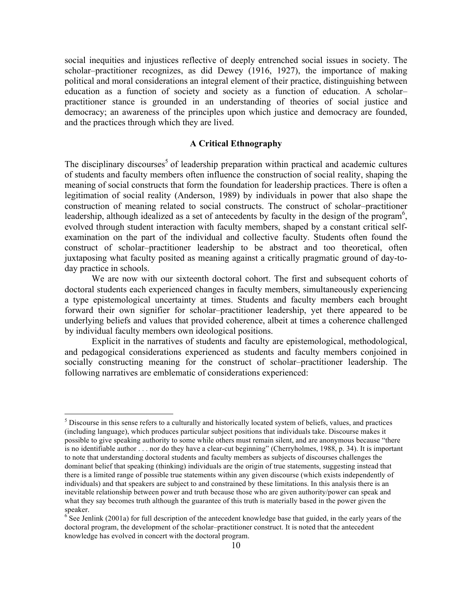social inequities and injustices reflective of deeply entrenched social issues in society. The scholar–practitioner recognizes, as did Dewey (1916, 1927), the importance of making political and moral considerations an integral element of their practice, distinguishing between education as a function of society and society as a function of education. A scholar– practitioner stance is grounded in an understanding of theories of social justice and democracy; an awareness of the principles upon which justice and democracy are founded, and the practices through which they are lived.

### **A Critical Ethnography**

The disciplinary discourses<sup>5</sup> of leadership preparation within practical and academic cultures of students and faculty members often influence the construction of social reality, shaping the meaning of social constructs that form the foundation for leadership practices. There is often a legitimation of social reality (Anderson, 1989) by individuals in power that also shape the construction of meaning related to social constructs. The construct of scholar–practitioner leadership, although idealized as a set of antecedents by faculty in the design of the program<sup>6</sup>, evolved through student interaction with faculty members, shaped by a constant critical selfexamination on the part of the individual and collective faculty. Students often found the construct of scholar–practitioner leadership to be abstract and too theoretical, often juxtaposing what faculty posited as meaning against a critically pragmatic ground of day-today practice in schools.

We are now with our sixteenth doctoral cohort. The first and subsequent cohorts of doctoral students each experienced changes in faculty members, simultaneously experiencing a type epistemological uncertainty at times. Students and faculty members each brought forward their own signifier for scholar–practitioner leadership, yet there appeared to be underlying beliefs and values that provided coherence, albeit at times a coherence challenged by individual faculty members own ideological positions.

Explicit in the narratives of students and faculty are epistemological, methodological, and pedagogical considerations experienced as students and faculty members conjoined in socially constructing meaning for the construct of scholar–practitioner leadership. The following narratives are emblematic of considerations experienced:

 $<sup>5</sup>$  Discourse in this sense refers to a culturally and historically located system of beliefs, values, and practices</sup> (including language), which produces particular subject positions that individuals take. Discourse makes it possible to give speaking authority to some while others must remain silent, and are anonymous because "there is no identifiable author . . . nor do they have a clear-cut beginning" (Cherryholmes, 1988, p. 34). It is important to note that understanding doctoral students and faculty members as subjects of discourses challenges the dominant belief that speaking (thinking) individuals are the origin of true statements, suggesting instead that there is a limited range of possible true statements within any given discourse (which exists independently of individuals) and that speakers are subject to and constrained by these limitations. In this analysis there is an inevitable relationship between power and truth because those who are given authority/power can speak and what they say becomes truth although the guarantee of this truth is materially based in the power given the speaker.

 $6^{\circ}$  See Jenlink (2001a) for full description of the antecedent knowledge base that guided, in the early years of the doctoral program, the development of the scholar–practitioner construct. It is noted that the antecedent knowledge has evolved in concert with the doctoral program.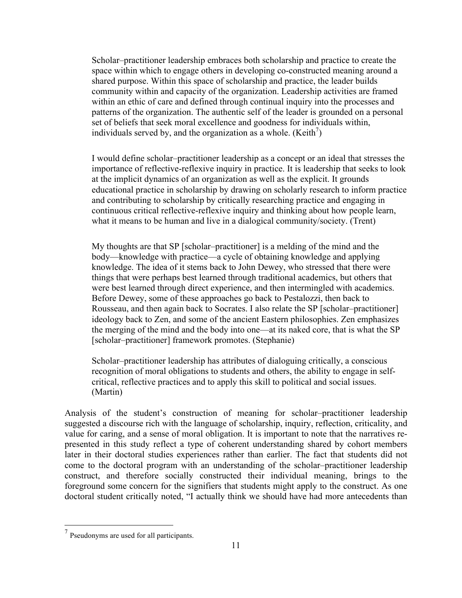Scholar–practitioner leadership embraces both scholarship and practice to create the space within which to engage others in developing co-constructed meaning around a shared purpose. Within this space of scholarship and practice, the leader builds community within and capacity of the organization. Leadership activities are framed within an ethic of care and defined through continual inquiry into the processes and patterns of the organization. The authentic self of the leader is grounded on a personal set of beliefs that seek moral excellence and goodness for individuals within, individuals served by, and the organization as a whole.  $(Keith<sup>7</sup>)$ 

I would define scholar–practitioner leadership as a concept or an ideal that stresses the importance of reflective-reflexive inquiry in practice. It is leadership that seeks to look at the implicit dynamics of an organization as well as the explicit. It grounds educational practice in scholarship by drawing on scholarly research to inform practice and contributing to scholarship by critically researching practice and engaging in continuous critical reflective-reflexive inquiry and thinking about how people learn, what it means to be human and live in a dialogical community/society. (Trent)

My thoughts are that SP [scholar–practitioner] is a melding of the mind and the body—knowledge with practice—a cycle of obtaining knowledge and applying knowledge. The idea of it stems back to John Dewey, who stressed that there were things that were perhaps best learned through traditional academics, but others that were best learned through direct experience, and then intermingled with academics. Before Dewey, some of these approaches go back to Pestalozzi, then back to Rousseau, and then again back to Socrates. I also relate the SP [scholar–practitioner] ideology back to Zen, and some of the ancient Eastern philosophies. Zen emphasizes the merging of the mind and the body into one—at its naked core, that is what the SP [scholar–practitioner] framework promotes. (Stephanie)

Scholar–practitioner leadership has attributes of dialoguing critically, a conscious recognition of moral obligations to students and others, the ability to engage in selfcritical, reflective practices and to apply this skill to political and social issues. (Martin)

Analysis of the student's construction of meaning for scholar–practitioner leadership suggested a discourse rich with the language of scholarship, inquiry, reflection, criticality, and value for caring, and a sense of moral obligation. It is important to note that the narratives represented in this study reflect a type of coherent understanding shared by cohort members later in their doctoral studies experiences rather than earlier. The fact that students did not come to the doctoral program with an understanding of the scholar–practitioner leadership construct, and therefore socially constructed their individual meaning, brings to the foreground some concern for the signifiers that students might apply to the construct. As one doctoral student critically noted, "I actually think we should have had more antecedents than

<sup>7</sup> Pseudonyms are used for all participants.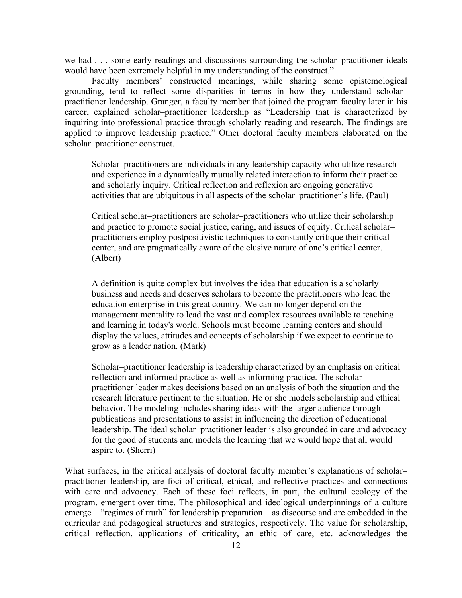we had . . . some early readings and discussions surrounding the scholar–practitioner ideals would have been extremely helpful in my understanding of the construct."

Faculty members' constructed meanings, while sharing some epistemological grounding, tend to reflect some disparities in terms in how they understand scholar– practitioner leadership. Granger, a faculty member that joined the program faculty later in his career, explained scholar–practitioner leadership as "Leadership that is characterized by inquiring into professional practice through scholarly reading and research. The findings are applied to improve leadership practice." Other doctoral faculty members elaborated on the scholar–practitioner construct.

Scholar–practitioners are individuals in any leadership capacity who utilize research and experience in a dynamically mutually related interaction to inform their practice and scholarly inquiry. Critical reflection and reflexion are ongoing generative activities that are ubiquitous in all aspects of the scholar–practitioner's life. (Paul)

Critical scholar–practitioners are scholar–practitioners who utilize their scholarship and practice to promote social justice, caring, and issues of equity. Critical scholar– practitioners employ postpositivistic techniques to constantly critique their critical center, and are pragmatically aware of the elusive nature of one's critical center. (Albert)

A definition is quite complex but involves the idea that education is a scholarly business and needs and deserves scholars to become the practitioners who lead the education enterprise in this great country. We can no longer depend on the management mentality to lead the vast and complex resources available to teaching and learning in today's world. Schools must become learning centers and should display the values, attitudes and concepts of scholarship if we expect to continue to grow as a leader nation. (Mark)

Scholar–practitioner leadership is leadership characterized by an emphasis on critical reflection and informed practice as well as informing practice. The scholar– practitioner leader makes decisions based on an analysis of both the situation and the research literature pertinent to the situation. He or she models scholarship and ethical behavior. The modeling includes sharing ideas with the larger audience through publications and presentations to assist in influencing the direction of educational leadership. The ideal scholar–practitioner leader is also grounded in care and advocacy for the good of students and models the learning that we would hope that all would aspire to. (Sherri)

What surfaces, in the critical analysis of doctoral faculty member's explanations of scholar– practitioner leadership, are foci of critical, ethical, and reflective practices and connections with care and advocacy. Each of these foci reflects, in part, the cultural ecology of the program, emergent over time. The philosophical and ideological underpinnings of a culture emerge – "regimes of truth" for leadership preparation – as discourse and are embedded in the curricular and pedagogical structures and strategies, respectively. The value for scholarship, critical reflection, applications of criticality, an ethic of care, etc. acknowledges the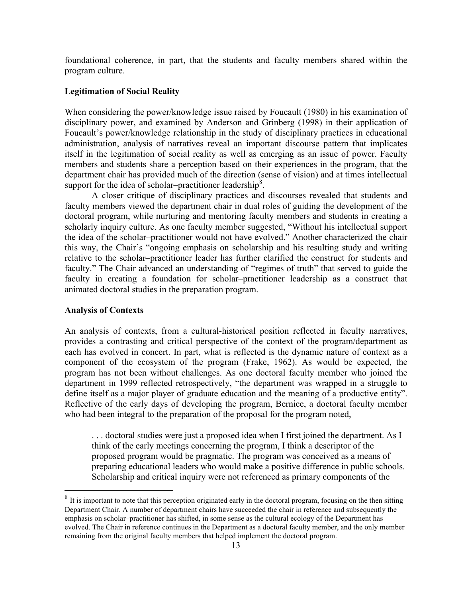foundational coherence, in part, that the students and faculty members shared within the program culture.

### **Legitimation of Social Reality**

When considering the power/knowledge issue raised by Foucault (1980) in his examination of disciplinary power, and examined by Anderson and Grinberg (1998) in their application of Foucault's power/knowledge relationship in the study of disciplinary practices in educational administration, analysis of narratives reveal an important discourse pattern that implicates itself in the legitimation of social reality as well as emerging as an issue of power. Faculty members and students share a perception based on their experiences in the program, that the department chair has provided much of the direction (sense of vision) and at times intellectual support for the idea of scholar–practitioner leadership<sup>8</sup>.

A closer critique of disciplinary practices and discourses revealed that students and faculty members viewed the department chair in dual roles of guiding the development of the doctoral program, while nurturing and mentoring faculty members and students in creating a scholarly inquiry culture. As one faculty member suggested, "Without his intellectual support the idea of the scholar–practitioner would not have evolved." Another characterized the chair this way, the Chair's "ongoing emphasis on scholarship and his resulting study and writing relative to the scholar–practitioner leader has further clarified the construct for students and faculty." The Chair advanced an understanding of "regimes of truth" that served to guide the faculty in creating a foundation for scholar–practitioner leadership as a construct that animated doctoral studies in the preparation program.

#### **Analysis of Contexts**

An analysis of contexts, from a cultural-historical position reflected in faculty narratives, provides a contrasting and critical perspective of the context of the program/department as each has evolved in concert. In part, what is reflected is the dynamic nature of context as a component of the ecosystem of the program (Frake, 1962). As would be expected, the program has not been without challenges. As one doctoral faculty member who joined the department in 1999 reflected retrospectively, "the department was wrapped in a struggle to define itself as a major player of graduate education and the meaning of a productive entity". Reflective of the early days of developing the program, Bernice, a doctoral faculty member who had been integral to the preparation of the proposal for the program noted,

. . . doctoral studies were just a proposed idea when I first joined the department. As I think of the early meetings concerning the program, I think a descriptor of the proposed program would be pragmatic. The program was conceived as a means of preparing educational leaders who would make a positive difference in public schools. Scholarship and critical inquiry were not referenced as primary components of the

<sup>&</sup>lt;sup>8</sup> It is important to note that this perception originated early in the doctoral program, focusing on the then sitting Department Chair. A number of department chairs have succeeded the chair in reference and subsequently the emphasis on scholar–practitioner has shifted, in some sense as the cultural ecology of the Department has evolved. The Chair in reference continues in the Department as a doctoral faculty member, and the only member remaining from the original faculty members that helped implement the doctoral program.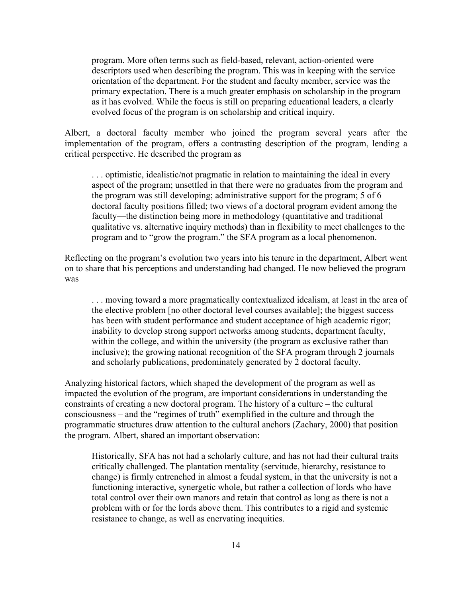program. More often terms such as field-based, relevant, action-oriented were descriptors used when describing the program. This was in keeping with the service orientation of the department. For the student and faculty member, service was the primary expectation. There is a much greater emphasis on scholarship in the program as it has evolved. While the focus is still on preparing educational leaders, a clearly evolved focus of the program is on scholarship and critical inquiry.

Albert, a doctoral faculty member who joined the program several years after the implementation of the program, offers a contrasting description of the program, lending a critical perspective. He described the program as

. . . optimistic, idealistic/not pragmatic in relation to maintaining the ideal in every aspect of the program; unsettled in that there were no graduates from the program and the program was still developing; administrative support for the program; 5 of 6 doctoral faculty positions filled; two views of a doctoral program evident among the faculty—the distinction being more in methodology (quantitative and traditional qualitative vs. alternative inquiry methods) than in flexibility to meet challenges to the program and to "grow the program." the SFA program as a local phenomenon.

Reflecting on the program's evolution two years into his tenure in the department, Albert went on to share that his perceptions and understanding had changed. He now believed the program was

. . . moving toward a more pragmatically contextualized idealism, at least in the area of the elective problem [no other doctoral level courses available]; the biggest success has been with student performance and student acceptance of high academic rigor; inability to develop strong support networks among students, department faculty, within the college, and within the university (the program as exclusive rather than inclusive); the growing national recognition of the SFA program through 2 journals and scholarly publications, predominately generated by 2 doctoral faculty.

Analyzing historical factors, which shaped the development of the program as well as impacted the evolution of the program, are important considerations in understanding the constraints of creating a new doctoral program. The history of a culture – the cultural consciousness – and the "regimes of truth" exemplified in the culture and through the programmatic structures draw attention to the cultural anchors (Zachary, 2000) that position the program. Albert, shared an important observation:

Historically, SFA has not had a scholarly culture, and has not had their cultural traits critically challenged. The plantation mentality (servitude, hierarchy, resistance to change) is firmly entrenched in almost a feudal system, in that the university is not a functioning interactive, synergetic whole, but rather a collection of lords who have total control over their own manors and retain that control as long as there is not a problem with or for the lords above them. This contributes to a rigid and systemic resistance to change, as well as enervating inequities.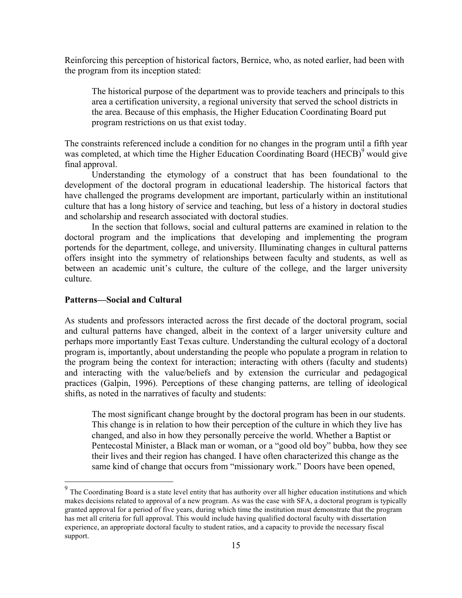Reinforcing this perception of historical factors, Bernice, who, as noted earlier, had been with the program from its inception stated:

The historical purpose of the department was to provide teachers and principals to this area a certification university, a regional university that served the school districts in the area. Because of this emphasis, the Higher Education Coordinating Board put program restrictions on us that exist today.

The constraints referenced include a condition for no changes in the program until a fifth year was completed, at which time the Higher Education Coordinating Board (HECB)<sup>9</sup> would give final approval.

Understanding the etymology of a construct that has been foundational to the development of the doctoral program in educational leadership. The historical factors that have challenged the programs development are important, particularly within an institutional culture that has a long history of service and teaching, but less of a history in doctoral studies and scholarship and research associated with doctoral studies.

In the section that follows, social and cultural patterns are examined in relation to the doctoral program and the implications that developing and implementing the program portends for the department, college, and university. Illuminating changes in cultural patterns offers insight into the symmetry of relationships between faculty and students, as well as between an academic unit's culture, the culture of the college, and the larger university culture.

#### **Patterns—Social and Cultural**

As students and professors interacted across the first decade of the doctoral program, social and cultural patterns have changed, albeit in the context of a larger university culture and perhaps more importantly East Texas culture. Understanding the cultural ecology of a doctoral program is, importantly, about understanding the people who populate a program in relation to the program being the context for interaction; interacting with others (faculty and students) and interacting with the value/beliefs and by extension the curricular and pedagogical practices (Galpin, 1996). Perceptions of these changing patterns, are telling of ideological shifts, as noted in the narratives of faculty and students:

The most significant change brought by the doctoral program has been in our students. This change is in relation to how their perception of the culture in which they live has changed, and also in how they personally perceive the world. Whether a Baptist or Pentecostal Minister, a Black man or woman, or a "good old boy" bubba, how they see their lives and their region has changed. I have often characterized this change as the same kind of change that occurs from "missionary work." Doors have been opened,

<sup>&</sup>lt;sup>9</sup> The Coordinating Board is a state level entity that has authority over all higher education institutions and which makes decisions related to approval of a new program. As was the case with SFA, a doctoral program is typically granted approval for a period of five years, during which time the institution must demonstrate that the program has met all criteria for full approval. This would include having qualified doctoral faculty with dissertation experience, an appropriate doctoral faculty to student ratios, and a capacity to provide the necessary fiscal support.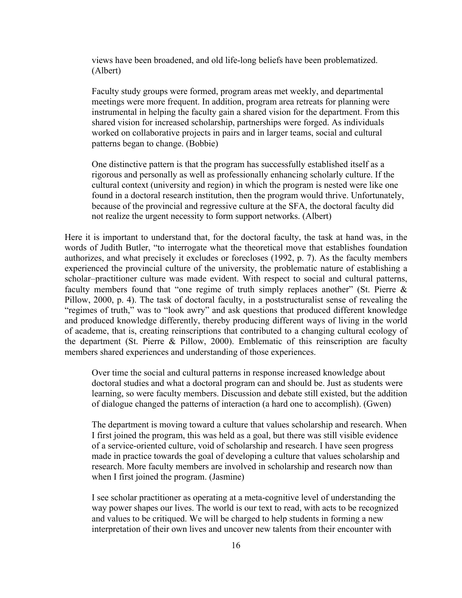views have been broadened, and old life-long beliefs have been problematized. (Albert)

Faculty study groups were formed, program areas met weekly, and departmental meetings were more frequent. In addition, program area retreats for planning were instrumental in helping the faculty gain a shared vision for the department. From this shared vision for increased scholarship, partnerships were forged. As individuals worked on collaborative projects in pairs and in larger teams, social and cultural patterns began to change. (Bobbie)

One distinctive pattern is that the program has successfully established itself as a rigorous and personally as well as professionally enhancing scholarly culture. If the cultural context (university and region) in which the program is nested were like one found in a doctoral research institution, then the program would thrive. Unfortunately, because of the provincial and regressive culture at the SFA, the doctoral faculty did not realize the urgent necessity to form support networks. (Albert)

Here it is important to understand that, for the doctoral faculty, the task at hand was, in the words of Judith Butler, "to interrogate what the theoretical move that establishes foundation authorizes, and what precisely it excludes or forecloses (1992, p. 7). As the faculty members experienced the provincial culture of the university, the problematic nature of establishing a scholar–practitioner culture was made evident. With respect to social and cultural patterns, faculty members found that "one regime of truth simply replaces another" (St. Pierre & Pillow, 2000, p. 4). The task of doctoral faculty, in a poststructuralist sense of revealing the "regimes of truth," was to "look awry" and ask questions that produced different knowledge and produced knowledge differently, thereby producing different ways of living in the world of academe, that is, creating reinscriptions that contributed to a changing cultural ecology of the department (St. Pierre & Pillow, 2000). Emblematic of this reinscription are faculty members shared experiences and understanding of those experiences.

Over time the social and cultural patterns in response increased knowledge about doctoral studies and what a doctoral program can and should be. Just as students were learning, so were faculty members. Discussion and debate still existed, but the addition of dialogue changed the patterns of interaction (a hard one to accomplish). (Gwen)

The department is moving toward a culture that values scholarship and research. When I first joined the program, this was held as a goal, but there was still visible evidence of a service-oriented culture, void of scholarship and research. I have seen progress made in practice towards the goal of developing a culture that values scholarship and research. More faculty members are involved in scholarship and research now than when I first joined the program. (Jasmine)

I see scholar practitioner as operating at a meta-cognitive level of understanding the way power shapes our lives. The world is our text to read, with acts to be recognized and values to be critiqued. We will be charged to help students in forming a new interpretation of their own lives and uncover new talents from their encounter with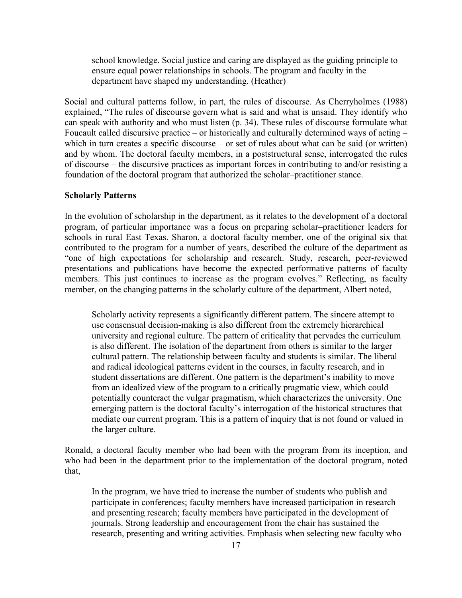school knowledge. Social justice and caring are displayed as the guiding principle to ensure equal power relationships in schools. The program and faculty in the department have shaped my understanding. (Heather)

Social and cultural patterns follow, in part, the rules of discourse. As Cherryholmes (1988) explained, "The rules of discourse govern what is said and what is unsaid. They identify who can speak with authority and who must listen (p. 34). These rules of discourse formulate what Foucault called discursive practice – or historically and culturally determined ways of acting – which in turn creates a specific discourse – or set of rules about what can be said (or written) and by whom. The doctoral faculty members, in a poststructural sense, interrogated the rules of discourse – the discursive practices as important forces in contributing to and/or resisting a foundation of the doctoral program that authorized the scholar–practitioner stance.

## **Scholarly Patterns**

In the evolution of scholarship in the department, as it relates to the development of a doctoral program, of particular importance was a focus on preparing scholar–practitioner leaders for schools in rural East Texas. Sharon, a doctoral faculty member, one of the original six that contributed to the program for a number of years, described the culture of the department as "one of high expectations for scholarship and research. Study, research, peer-reviewed presentations and publications have become the expected performative patterns of faculty members. This just continues to increase as the program evolves." Reflecting, as faculty member, on the changing patterns in the scholarly culture of the department, Albert noted,

Scholarly activity represents a significantly different pattern. The sincere attempt to use consensual decision-making is also different from the extremely hierarchical university and regional culture. The pattern of criticality that pervades the curriculum is also different. The isolation of the department from others is similar to the larger cultural pattern. The relationship between faculty and students is similar. The liberal and radical ideological patterns evident in the courses, in faculty research, and in student dissertations are different. One pattern is the department's inability to move from an idealized view of the program to a critically pragmatic view, which could potentially counteract the vulgar pragmatism, which characterizes the university. One emerging pattern is the doctoral faculty's interrogation of the historical structures that mediate our current program. This is a pattern of inquiry that is not found or valued in the larger culture.

Ronald, a doctoral faculty member who had been with the program from its inception, and who had been in the department prior to the implementation of the doctoral program, noted that,

In the program, we have tried to increase the number of students who publish and participate in conferences; faculty members have increased participation in research and presenting research; faculty members have participated in the development of journals. Strong leadership and encouragement from the chair has sustained the research, presenting and writing activities. Emphasis when selecting new faculty who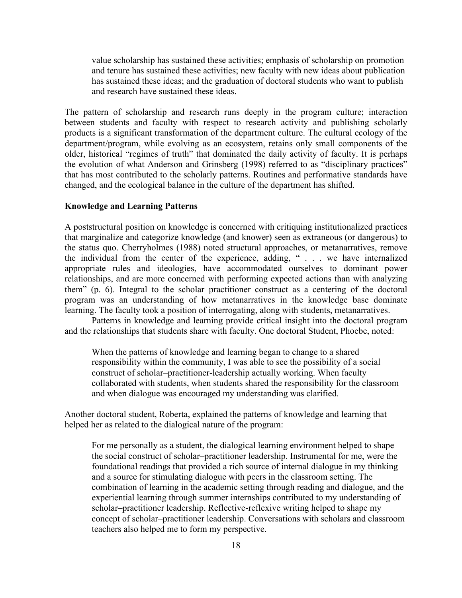value scholarship has sustained these activities; emphasis of scholarship on promotion and tenure has sustained these activities; new faculty with new ideas about publication has sustained these ideas; and the graduation of doctoral students who want to publish and research have sustained these ideas.

The pattern of scholarship and research runs deeply in the program culture; interaction between students and faculty with respect to research activity and publishing scholarly products is a significant transformation of the department culture. The cultural ecology of the department/program, while evolving as an ecosystem, retains only small components of the older, historical "regimes of truth" that dominated the daily activity of faculty. It is perhaps the evolution of what Anderson and Grinsberg (1998) referred to as "disciplinary practices" that has most contributed to the scholarly patterns. Routines and performative standards have changed, and the ecological balance in the culture of the department has shifted.

#### **Knowledge and Learning Patterns**

A poststructural position on knowledge is concerned with critiquing institutionalized practices that marginalize and categorize knowledge (and knower) seen as extraneous (or dangerous) to the status quo. Cherryholmes (1988) noted structural approaches, or metanarratives, remove the individual from the center of the experience, adding, " . . . we have internalized appropriate rules and ideologies, have accommodated ourselves to dominant power relationships, and are more concerned with performing expected actions than with analyzing them" (p. 6). Integral to the scholar–practitioner construct as a centering of the doctoral program was an understanding of how metanarratives in the knowledge base dominate learning. The faculty took a position of interrogating, along with students, metanarratives.

Patterns in knowledge and learning provide critical insight into the doctoral program and the relationships that students share with faculty. One doctoral Student, Phoebe, noted:

When the patterns of knowledge and learning began to change to a shared responsibility within the community, I was able to see the possibility of a social construct of scholar–practitioner-leadership actually working. When faculty collaborated with students, when students shared the responsibility for the classroom and when dialogue was encouraged my understanding was clarified.

Another doctoral student, Roberta, explained the patterns of knowledge and learning that helped her as related to the dialogical nature of the program:

For me personally as a student, the dialogical learning environment helped to shape the social construct of scholar–practitioner leadership. Instrumental for me, were the foundational readings that provided a rich source of internal dialogue in my thinking and a source for stimulating dialogue with peers in the classroom setting. The combination of learning in the academic setting through reading and dialogue, and the experiential learning through summer internships contributed to my understanding of scholar–practitioner leadership. Reflective-reflexive writing helped to shape my concept of scholar–practitioner leadership. Conversations with scholars and classroom teachers also helped me to form my perspective.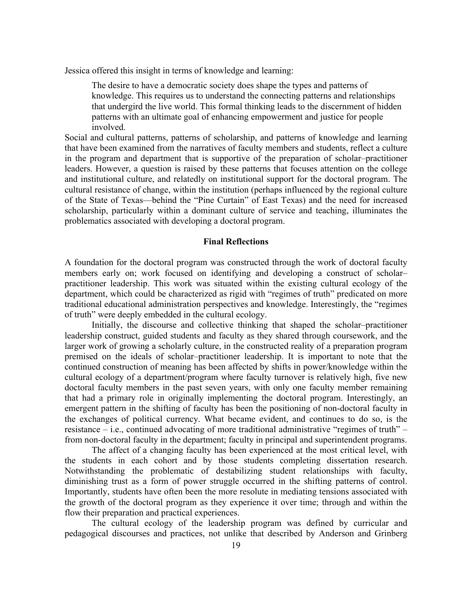Jessica offered this insight in terms of knowledge and learning:

The desire to have a democratic society does shape the types and patterns of knowledge. This requires us to understand the connecting patterns and relationships that undergird the live world. This formal thinking leads to the discernment of hidden patterns with an ultimate goal of enhancing empowerment and justice for people involved.

Social and cultural patterns, patterns of scholarship, and patterns of knowledge and learning that have been examined from the narratives of faculty members and students, reflect a culture in the program and department that is supportive of the preparation of scholar–practitioner leaders. However, a question is raised by these patterns that focuses attention on the college and institutional culture, and relatedly on institutional support for the doctoral program. The cultural resistance of change, within the institution (perhaps influenced by the regional culture of the State of Texas—behind the "Pine Curtain" of East Texas) and the need for increased scholarship, particularly within a dominant culture of service and teaching, illuminates the problematics associated with developing a doctoral program.

#### **Final Reflections**

A foundation for the doctoral program was constructed through the work of doctoral faculty members early on; work focused on identifying and developing a construct of scholar– practitioner leadership. This work was situated within the existing cultural ecology of the department, which could be characterized as rigid with "regimes of truth" predicated on more traditional educational administration perspectives and knowledge. Interestingly, the "regimes of truth" were deeply embedded in the cultural ecology.

Initially, the discourse and collective thinking that shaped the scholar–practitioner leadership construct, guided students and faculty as they shared through coursework, and the larger work of growing a scholarly culture, in the constructed reality of a preparation program premised on the ideals of scholar–practitioner leadership. It is important to note that the continued construction of meaning has been affected by shifts in power/knowledge within the cultural ecology of a department/program where faculty turnover is relatively high, five new doctoral faculty members in the past seven years, with only one faculty member remaining that had a primary role in originally implementing the doctoral program. Interestingly, an emergent pattern in the shifting of faculty has been the positioning of non-doctoral faculty in the exchanges of political currency. What became evident, and continues to do so, is the resistance – i.e., continued advocating of more traditional administrative "regimes of truth" – from non-doctoral faculty in the department; faculty in principal and superintendent programs.

The affect of a changing faculty has been experienced at the most critical level, with the students in each cohort and by those students completing dissertation research. Notwithstanding the problematic of destabilizing student relationships with faculty, diminishing trust as a form of power struggle occurred in the shifting patterns of control. Importantly, students have often been the more resolute in mediating tensions associated with the growth of the doctoral program as they experience it over time; through and within the flow their preparation and practical experiences.

The cultural ecology of the leadership program was defined by curricular and pedagogical discourses and practices, not unlike that described by Anderson and Grinberg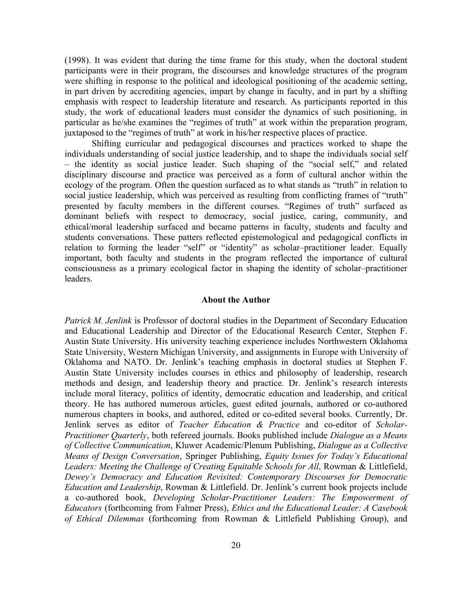(1998). It was evident that during the time frame for this study, when the doctoral student participants were in their program, the discourses and knowledge structures of the program were shifting in response to the political and ideological positioning of the academic setting, in part driven by accrediting agencies, impart by change in faculty, and in part by a shifting emphasis with respect to leadership literature and research. As participants reported in this study, the work of educational leaders must consider the dynamics of such positioning, in particular as he/she examines the "regimes of truth" at work within the preparation program, juxtaposed to the "regimes of truth" at work in his/her respective places of practice.

Shifting curricular and pedagogical discourses and practices worked to shape the individuals understanding of social justice leadership, and to shape the individuals social self – the identity as social justice leader. Such shaping of the "social self," and related disciplinary discourse and practice was perceived as a form of cultural anchor within the ecology of the program. Often the question surfaced as to what stands as "truth" in relation to social justice leadership, which was perceived as resulting from conflicting frames of "truth" presented by faculty members in the different courses. "Regimes of truth" surfaced as dominant beliefs with respect to democracy, social justice, caring, community, and ethical/moral leadership surfaced and became patterns in faculty, students and faculty and students conversations. These patters reflected epistemological and pedagogical conflicts in relation to forming the leader "self" or "identity" as scholar–practitioner leader. Equally important, both faculty and students in the program reflected the importance of cultural consciousness as a primary ecological factor in shaping the identity of scholar–practitioner leaders.

#### **About the Author**

*Patrick M. Jenlink* is Professor of doctoral studies in the Department of Secondary Education and Educational Leadership and Director of the Educational Research Center, Stephen F. Austin State University. His university teaching experience includes Northwestern Oklahoma State University, Western Michigan University, and assignments in Europe with University of Oklahoma and NATO. Dr. Jenlink's teaching emphasis in doctoral studies at Stephen F. Austin State University includes courses in ethics and philosophy of leadership, research methods and design, and leadership theory and practice. Dr. Jenlink's research interests include moral literacy, politics of identity, democratic education and leadership, and critical theory. He has authored numerous articles, guest edited journals, authored or co-authored numerous chapters in books, and authored, edited or co-edited several books. Currently, Dr. Jenlink serves as editor of *Teacher Education & Practice* and co-editor of *Scholar-Practitioner Quarterly*, both refereed journals. Books published include *Dialogue as a Means of Collective Communication*, Kluwer Academic/Plenum Publishing, *Dialogue as a Collective Means of Design Conversation*, Springer Publishing, *Equity Issues for Today's Educational Leaders: Meeting the Challenge of Creating Equitable Schools for All*, Rowman & Littlefield, *Dewey's Democracy and Education Revisited: Contemporary Discourses for Democratic Education and Leadership*, Rowman & Littlefield. Dr. Jenlink's current book projects include a co-authored book, *Developing Scholar-Practitioner Leaders: The Empowerment of Educators* (forthcoming from Falmer Press), *Ethics and the Educational Leader: A Casebook of Ethical Dilemmas* (forthcoming from Rowman & Littlefield Publishing Group), and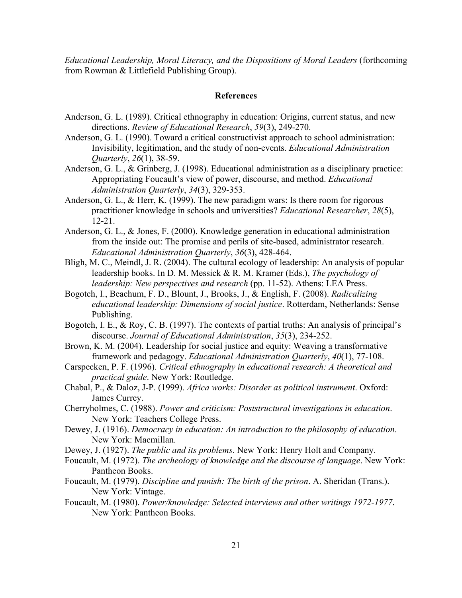*Educational Leadership, Moral Literacy, and the Dispositions of Moral Leaders* (forthcoming from Rowman & Littlefield Publishing Group).

# **References**

- Anderson, G. L. (1989). Critical ethnography in education: Origins, current status, and new directions. *Review of Educational Research*, *59*(3), 249-270.
- Anderson, G. L. (1990). Toward a critical constructivist approach to school administration: Invisibility, legitimation, and the study of non-events. *Educational Administration Quarterly*, *26*(1), 38-59.
- Anderson, G. L., & Grinberg, J. (1998). Educational administration as a disciplinary practice: Appropriating Foucault's view of power, discourse, and method. *Educational Administration Quarterly*, *34*(3), 329-353.
- Anderson, G. L., & Herr, K. (1999). The new paradigm wars: Is there room for rigorous practitioner knowledge in schools and universities? *Educational Researcher*, *28*(5), 12-21.
- Anderson, G. L., & Jones, F. (2000). Knowledge generation in educational administration from the inside out: The promise and perils of site-based, administrator research. *Educational Administration Quarterly*, *36*(3), 428-464.
- Bligh, M. C., Meindl, J. R. (2004). The cultural ecology of leadership: An analysis of popular leadership books. In D. M. Messick & R. M. Kramer (Eds.), *The psychology of leadership: New perspectives and research* (pp. 11-52). Athens: LEA Press.
- Bogotch, I., Beachum, F. D., Blount, J., Brooks, J., & English, F. (2008). *Radicalizing educational leadership: Dimensions of social justice*. Rotterdam, Netherlands: Sense Publishing.
- Bogotch, I. E., & Roy, C. B. (1997). The contexts of partial truths: An analysis of principal's discourse. *Journal of Educational Administration*, *35*(3), 234-252.
- Brown, K. M. (2004). Leadership for social justice and equity: Weaving a transformative framework and pedagogy. *Educational Administration Quarterly*, *40*(1), 77-108.
- Carspecken, P. F. (1996). *Critical ethnography in educational research: A theoretical and practical guide*. New York: Routledge.
- Chabal, P., & Daloz, J-P. (1999). *Africa works: Disorder as political instrument*. Oxford: James Currey.
- Cherryholmes, C. (1988). *Power and criticism: Poststructural investigations in education*. New York: Teachers College Press.
- Dewey, J. (1916). *Democracy in education: An introduction to the philosophy of education*. New York: Macmillan.
- Dewey, J. (1927). *The public and its problems*. New York: Henry Holt and Company.
- Foucault, M. (1972). *The archeology of knowledge and the discourse of language*. New York: Pantheon Books.
- Foucault, M. (1979). *Discipline and punish: The birth of the prison*. A. Sheridan (Trans.). New York: Vintage.
- Foucault, M. (1980). *Power/knowledge: Selected interviews and other writings 1972-1977*. New York: Pantheon Books.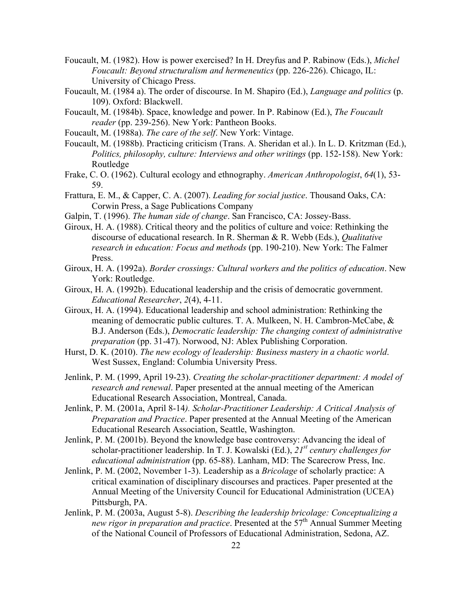- Foucault, M. (1982). How is power exercised? In H. Dreyfus and P. Rabinow (Eds.), *Michel Foucault: Beyond structuralism and hermeneutics* (pp. 226-226). Chicago, IL: University of Chicago Press.
- Foucault, M. (1984 a). The order of discourse. In M. Shapiro (Ed.), *Language and politics* (p. 109). Oxford: Blackwell.
- Foucault, M. (1984b). Space, knowledge and power. In P. Rabinow (Ed.), *The Foucault reader* (pp. 239-256). New York: Pantheon Books.
- Foucault, M. (1988a). *The care of the self*. New York: Vintage.
- Foucault, M. (1988b). Practicing criticism (Trans. A. Sheridan et al.). In L. D. Kritzman (Ed.), *Politics, philosophy, culture: Interviews and other writings* (pp. 152-158). New York: Routledge
- Frake, C. O. (1962). Cultural ecology and ethnography. *American Anthropologist*, *64*(1), 53- 59.
- Frattura, E. M., & Capper, C. A. (2007). *Leading for social justice*. Thousand Oaks, CA: Corwin Press, a Sage Publications Company
- Galpin, T. (1996). *The human side of change*. San Francisco, CA: Jossey-Bass.
- Giroux, H. A. (1988). Critical theory and the politics of culture and voice: Rethinking the discourse of educational research. In R. Sherman & R. Webb (Eds.), *Qualitative research in education: Focus and methods* (pp. 190-210). New York: The Falmer Press.
- Giroux, H. A. (1992a). *Border crossings: Cultural workers and the politics of education*. New York: Routledge.
- Giroux, H. A. (1992b). Educational leadership and the crisis of democratic government. *Educational Researcher*, *2*(4), 4-11.
- Giroux, H. A. (1994). Educational leadership and school administration: Rethinking the meaning of democratic public cultures. T. A. Mulkeen, N. H. Cambron-McCabe, & B.J. Anderson (Eds.), *Democratic leadership: The changing context of administrative preparation* (pp. 31-47). Norwood, NJ: Ablex Publishing Corporation.
- Hurst, D. K. (2010). *The new ecology of leadership: Business mastery in a chaotic world*. West Sussex, England: Columbia University Press.
- Jenlink, P. M. (1999, April 19-23). *Creating the scholar-practitioner department: A model of research and renewal*. Paper presented at the annual meeting of the American Educational Research Association, Montreal, Canada.
- Jenlink, P. M. (2001a, April 8-14*). Scholar-Practitioner Leadership: A Critical Analysis of Preparation and Practice*. Paper presented at the Annual Meeting of the American Educational Research Association, Seattle, Washington.
- Jenlink, P. M. (2001b). Beyond the knowledge base controversy: Advancing the ideal of scholar-practitioner leadership. In T. J. Kowalski (Ed.), *21st century challenges for educational administration* (pp. 65-88). Lanham, MD: The Scarecrow Press, Inc.
- Jenlink, P. M. (2002, November 1-3). Leadership as a *Bricolage* of scholarly practice: A critical examination of disciplinary discourses and practices. Paper presented at the Annual Meeting of the University Council for Educational Administration (UCEA) Pittsburgh, PA.
- Jenlink, P. M. (2003a, August 5-8). *Describing the leadership bricolage: Conceptualizing a new rigor in preparation and practice*. Presented at the 57<sup>th</sup> Annual Summer Meeting of the National Council of Professors of Educational Administration, Sedona, AZ.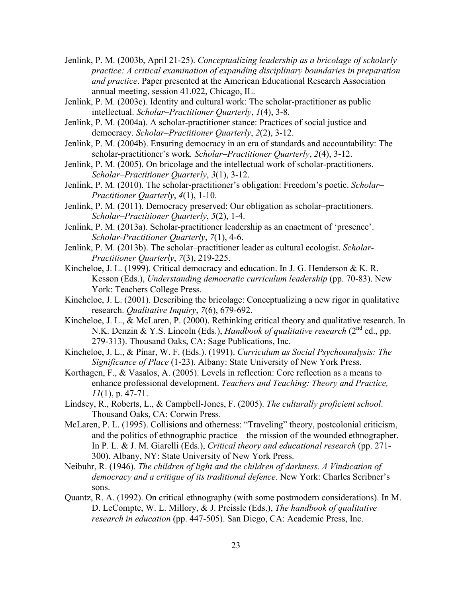- Jenlink, P. M. (2003b, April 21-25). *Conceptualizing leadership as a bricolage of scholarly practice: A critical examination of expanding disciplinary boundaries in preparation and practice*. Paper presented at the American Educational Research Association annual meeting, session 41.022, Chicago, IL.
- Jenlink, P. M. (2003c). Identity and cultural work: The scholar-practitioner as public intellectual. *Scholar–Practitioner Quarterly*, *1*(4), 3-8.
- Jenlink, P. M. (2004a). A scholar-practitioner stance: Practices of social justice and democracy. *Scholar–Practitioner Quarterly*, *2*(2), 3-12.
- Jenlink, P. M. (2004b). Ensuring democracy in an era of standards and accountability: The scholar-practitioner's work*. Scholar–Practitioner Quarterly*, *2*(4), 3-12.
- Jenlink, P. M. (2005). On bricolage and the intellectual work of scholar-practitioners. *Scholar–Practitioner Quarterly*, *3*(1), 3-12.
- Jenlink, P. M. (2010). The scholar-practitioner's obligation: Freedom's poetic. *Scholar– Practitioner Quarterly*, *4*(1), 1-10.
- Jenlink, P. M. (2011). Democracy preserved: Our obligation as scholar–practitioners. *Scholar–Practitioner Quarterly*, *5*(2), 1-4.
- Jenlink, P. M. (2013a). Scholar-practitioner leadership as an enactment of 'presence'. *Scholar-Practitioner Quarterly*, *7*(1), 4-6.
- Jenlink, P. M. (2013b). The scholar–practitioner leader as cultural ecologist. *Scholar-Practitioner Quarterly*, *7*(3), 219-225.
- Kincheloe, J. L. (1999). Critical democracy and education. In J. G. Henderson & K. R. Kesson (Eds.), *Understanding democratic curriculum leadership* (pp. 70-83). New York: Teachers College Press.
- Kincheloe, J. L. (2001). Describing the bricolage: Conceptualizing a new rigor in qualitative research. *Qualitative Inquiry*, *7*(6), 679-692.
- Kincheloe, J. L.,  $\&$  McLaren, P. (2000). Rethinking critical theory and qualitative research. In N.K. Denzin & Y.S. Lincoln (Eds.), *Handbook of qualitative research* (2<sup>nd</sup> ed., pp. 279-313). Thousand Oaks, CA: Sage Publications, Inc.
- Kincheloe, J. L., & Pinar, W. F. (Eds.). (1991). *Curriculum as Social Psychoanalysis: The Significance of Place* (1-23). Albany: State University of New York Press.
- Korthagen, F., & Vasalos, A. (2005). Levels in reflection: Core reflection as a means to enhance professional development. *Teachers and Teaching: Theory and Practice, 11*(1), p. 47-71.
- Lindsey, R., Roberts, L., & Campbell-Jones, F. (2005). *The culturally proficient school*. Thousand Oaks, CA: Corwin Press.
- McLaren, P. L. (1995). Collisions and otherness: "Traveling" theory, postcolonial criticism, and the politics of ethnographic practice—the mission of the wounded ethnographer. In P. L. & J. M. Giarelli (Eds.), *Critical theory and educational research* (pp. 271- 300). Albany, NY: State University of New York Press.
- Neibuhr, R. (1946). *The children of light and the children of darkness. A Vindication of democracy and a critique of its traditional defence*. New York: Charles Scribner's sons.
- Quantz, R. A. (1992). On critical ethnography (with some postmodern considerations). In M. D. LeCompte, W. L. Millory, & J. Preissle (Eds.), *The handbook of qualitative research in education* (pp. 447-505). San Diego, CA: Academic Press, Inc.